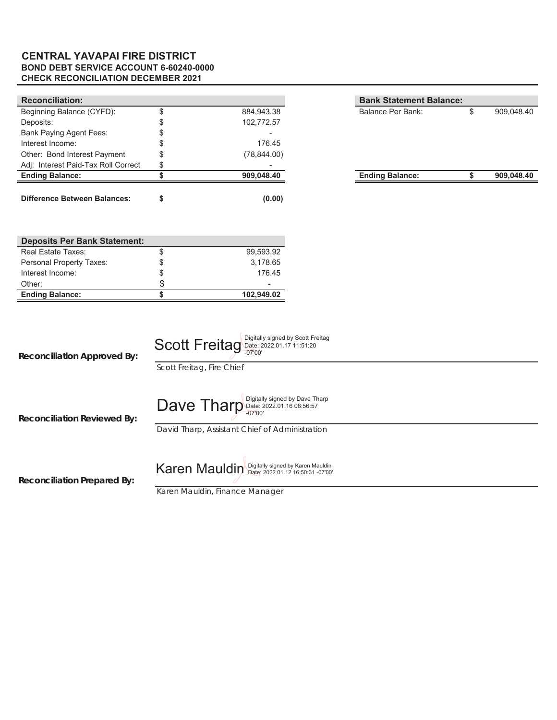### **BOND DEBT SERVICE ACCOUNT 6-60240-0000 CHECK RECONCILIATION DECEMBER 2021 CENTRAL YAVAPAI FIRE DISTRICT**

| <b>Reconciliation:</b>              |              | <b>Bank Statement Balance:</b> |   |            |
|-------------------------------------|--------------|--------------------------------|---|------------|
| Beginning Balance (CYFD):           | 884,943.38   | Balance Per Bank:              | Œ | 909,048.40 |
| Deposits:                           | 102,772.57   |                                |   |            |
| <b>Bank Paying Agent Fees:</b>      |              |                                |   |            |
| Interest Income:                    | 176.45       |                                |   |            |
| Other: Bond Interest Payment        | (78, 844.00) |                                |   |            |
| Adj: Interest Paid-Tax Roll Correct |              |                                |   |            |
| <b>Ending Balance:</b>              | 909,048.40   | <b>Ending Balance:</b>         |   | 909,048.40 |
|                                     |              |                                |   |            |
| <b>Difference Between Balances:</b> | (0.00)       |                                |   |            |

| <b>Deposits Per Bank Statement:</b> |            |
|-------------------------------------|------------|
| Real Estate Taxes:                  | 99.593.92  |
| Personal Property Taxes:            | 3.178.65   |
| Interest Income:                    | 176.45     |
| Other:                              | -          |
| <b>Ending Balance:</b>              | 102,949.02 |

| <b>Reconciliation Approved By:</b> | Scott Freitag Digitally signed by Scott Freitag<br>Scott Freitag, Fire Chief                           |
|------------------------------------|--------------------------------------------------------------------------------------------------------|
| Reconciliation Reviewed By:        | $\textbf{Dave}$ Tharp Digitally signed by Dave Tharp<br>David Tharp, Assistant Chief of Administration |
|                                    | Karen Mauldin Digitally signed by Karen Mauldin                                                        |

**Reconciliation Prepared By:**

*Karen Mauldin, Finance Manager*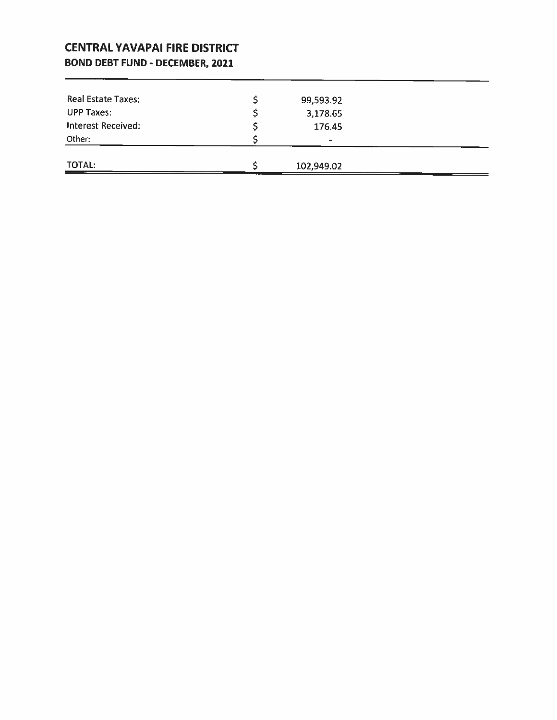### **CENTRAL YAVAPAI FIRE DISTRICT BOND DEBT FUND - DECEMBER, 2021**

| Real Estate Taxes:        | 99,593.92      |  |
|---------------------------|----------------|--|
| <b>UPP Taxes:</b>         | 3,178.65       |  |
| <b>Interest Received:</b> | 176.45         |  |
| Other:                    | $\blacksquare$ |  |
|                           |                |  |
| TOTAL:                    | 102,949.02     |  |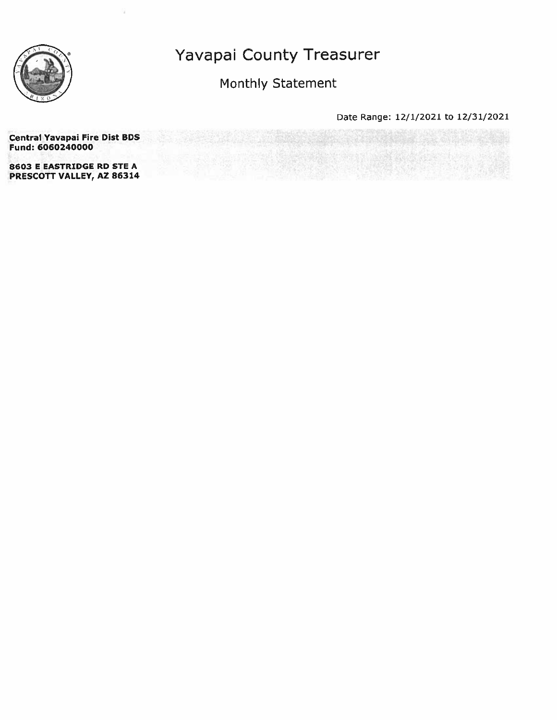

Monthly Statement

Date Range: 12/1/2021 to 12/31/2021

**Central Yavapai Fire Dist BDS** Fund: 6060240000 8603 E EASTRIDGE RD STE A PRESCOTT VALLEY, AZ 86314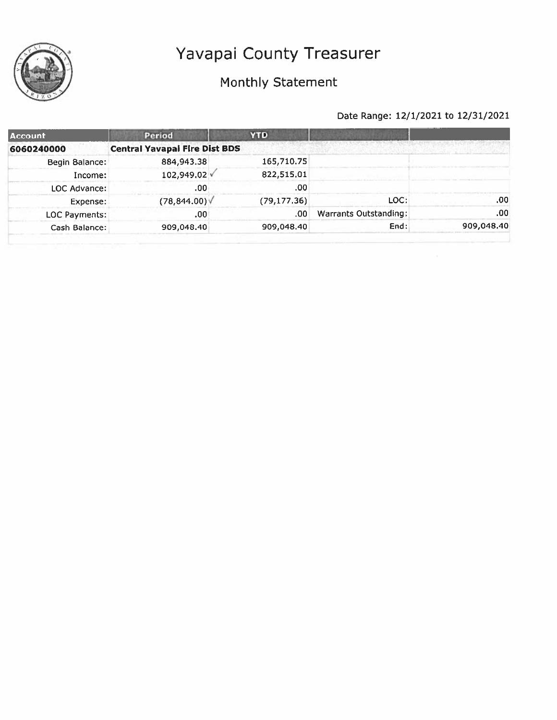

### Monthly Statement

| <b>Account</b> | Period                               | <b>YTD</b>    |                              |            |
|----------------|--------------------------------------|---------------|------------------------------|------------|
| 6060240000     | <b>Central Yavapai Fire Dist BDS</b> |               |                              |            |
| Begin Balance: | 884,943.38                           | 165,710.75    |                              |            |
| Income:        | 102,949.02 V                         | 822,515,01    |                              |            |
| LOC Advance:   | .00                                  | .00           |                              |            |
| Expense:       | (78, 844.00)                         | (79, 177, 36) | LOC:                         | .00.       |
| LOC Payments:  | .00                                  | .00           | <b>Warrants Outstanding:</b> | .00.       |
| Cash Balance:  | 909,048.40                           | 909,048.40    | End:                         | 909,048.40 |
|                |                                      |               |                              |            |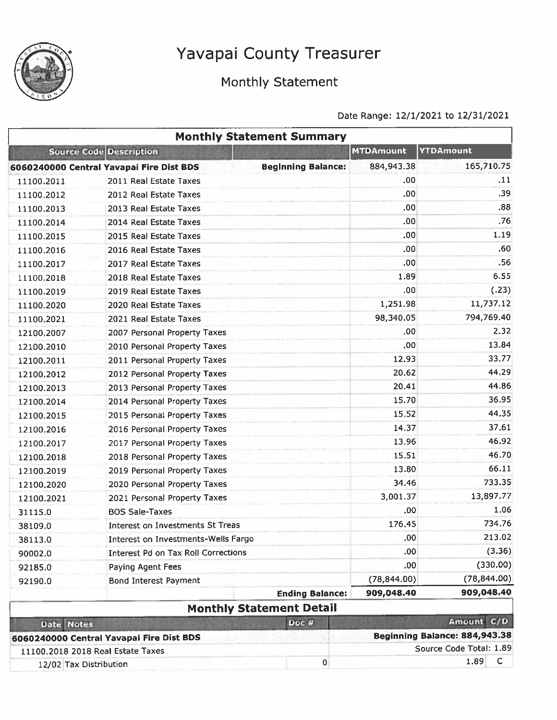

### Monthly Statement

|                        | <b>Monthly Statement Summary</b>           |                           |                  |                               |
|------------------------|--------------------------------------------|---------------------------|------------------|-------------------------------|
|                        | <b>Source Code Description</b>             |                           | <b>MTDAmount</b> | YTDAmount                     |
|                        | 6060240000 Central Yavapai Fire Dist BDS   | <b>Beginning Balance:</b> | 884,943.38       | 165,710.75                    |
| 11100.2011             | 2011 Real Estate Taxes                     |                           | .00              | .11                           |
| 11100.2012             | 2012 Real Estate Taxes                     |                           | .00              | .39                           |
| 11100.2013             | 2013 Real Estate Taxes                     |                           | .00.             | .88                           |
| 11100.2014             | 2014 Real Estate Taxes                     |                           | .00              | .76                           |
| 11100.2015             | 2015 Real Estate Taxes                     |                           | .00.             | 1.19                          |
| 11100.2016             | 2016 Real Estate Taxes                     |                           | .00              | .60                           |
| 11100.2017             | 2017 Real Estate Taxes                     |                           | .00              | .56                           |
| 11100.2018             | 2018 Real Estate Taxes                     |                           | 1.89             | 6.55                          |
| 11100.2019             | 2019 Real Estate Taxes                     |                           | .00              | (.23)                         |
| 11100.2020             | 2020 Real Estate Taxes                     |                           | 1,251.98         | 11,737.12                     |
| 11100.2021             | 2021 Real Estate Taxes                     |                           | 98,340.05        | 794,769.40                    |
| 12100,2007             | 2007 Personal Property Taxes               |                           | .00.             | 2.32                          |
| 12100.2010             | 2010 Personal Property Taxes               |                           | .00              | 13.84                         |
| 12100.2011             | 2011 Personal Property Taxes               |                           | 12.93            | 33.77                         |
| 12100.2012             | 2012 Personal Property Taxes               |                           | 20.62            | 44.29                         |
| 12100.2013             | 2013 Personal Property Taxes               |                           | 20.41            | 44.86                         |
| 12100.2014             | 2014 Personal Property Taxes               |                           | 15.70            | 36.95                         |
| 12100.2015             | 2015 Personal Property Taxes               |                           | 15.52            | 44.35                         |
| 12100.2016             | 2016 Personal Property Taxes               |                           | 14.37            | 37.61                         |
| 12100.2017             | 2017 Personal Property Taxes               |                           | 13.96            | 46.92                         |
| 12100.2018             | 2018 Personal Property Taxes               |                           | 15.51            | 46.70                         |
| 12100.2019             | 2019 Personal Property Taxes               |                           | 13.80            | 66.11                         |
| 12100.2020             | 2020 Personal Property Taxes               |                           | 34.46            | 733.35                        |
| 12100.2021             | 2021 Personal Property Taxes               |                           | 3,001.37         | 13,897.77                     |
| 31115.0                | <b>BOS Sale-Taxes</b>                      |                           | .00              | 1,06                          |
| 38109.0                | Interest on Investments St Treas           |                           | 176.45           | 734.76                        |
| 38113.0                | Interest on Investments-Wells Fargo        |                           | .00              | 213.02                        |
| 90002.0                | <b>Interest Pd on Tax Roll Corrections</b> |                           | .00              | (3.36)                        |
| 92185.0                | Paying Agent Fees                          |                           | .00              | (330.00)                      |
| 92190.0                | Bond Interest Payment                      |                           | (78, 844.00)     | (78, 844.00)                  |
|                        |                                            | <b>Ending Balance:</b>    | 909,048.40       | 909,048.40                    |
|                        | <b>Monthly Statement Detail</b>            |                           |                  |                               |
| Date Notes             |                                            | Doc #                     |                  | Amount C/D                    |
|                        | 6060240000 Central Yavapai Fire Dist BDS   |                           |                  | Beginning Balance: 884,943.38 |
|                        | 11100.2018 2018 Real Estate Taxes          |                           |                  | Source Code Total: 1.89       |
| 12/02 Tax Distribution |                                            | $\bf{0}$                  |                  | 1.89<br>C                     |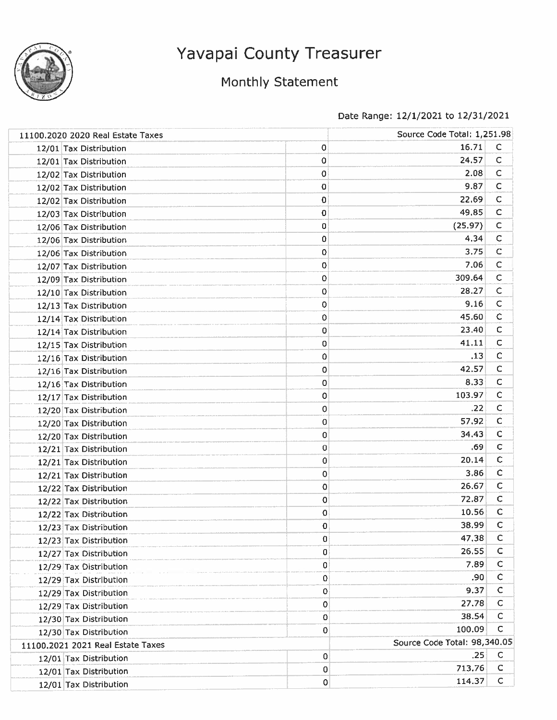

### Monthly Statement

| 11100.2020 2020 Real Estate Taxes |   | Source Code Total: 1,251.98  |              |
|-----------------------------------|---|------------------------------|--------------|
| 12/01 Tax Distribution            | 0 | 16.71                        | $\mathsf{C}$ |
| 12/01 Tax Distribution            | 0 | 24.57                        | $\mathsf{C}$ |
| 12/02 Tax Distribution            | 0 | 2.08                         | $\mathsf{C}$ |
| 12/02 Tax Distribution            | 0 | 9.87                         | C            |
| 12/02 Tax Distribution            | 0 | 22.69                        | С            |
| 12/03 Tax Distribution            | 0 | 49.85                        | $\mathsf C$  |
| 12/06 Tax Distribution            | 0 | (25.97)                      | C            |
| 12/06 Tax Distribution            | 0 | 4.34                         | $\mathsf C$  |
| 12/06 Tax Distribution            | 0 | 3.75                         | $\mathsf C$  |
| 12/07 Tax Distribution            | 0 | 7.06                         | С            |
| 12/09 Tax Distribution            | 0 | 309.64                       | $\mathsf C$  |
| 12/10 Tax Distribution            | 0 | 28.27                        | С            |
| 12/13 Tax Distribution            | 0 | 9.16                         | $\mathsf{C}$ |
| 12/14 Tax Distribution            | 0 | 45.60                        | $\mathsf{C}$ |
| 12/14 Tax Distribution            | 0 | 23.40                        | C            |
| 12/15 Tax Distribution            | 0 | 41.11                        | C            |
| 12/16 Tax Distribution            | 0 | .13                          | $\mathsf C$  |
| 12/16 Tax Distribution            | 0 | 42.57                        | C            |
| 12/16 Tax Distribution            | 0 | 8.33                         | $\mathsf C$  |
| 12/17 Tax Distribution            | 0 | 103.97                       | $\mathsf C$  |
| 12/20 Tax Distribution            | 0 | .22                          | C            |
| 12/20 Tax Distribution            | 0 | 57.92                        | $\mathsf C$  |
| 12/20 Tax Distribution            | 0 | 34,43                        | $\mathsf C$  |
| 12/21 Tax Distribution            | 0 | .69                          | C            |
| 12/21 Tax Distribution            | 0 | 20.14                        | $\mathsf{C}$ |
| 12/21 Tax Distribution            | 0 | 3.86                         | C            |
| 12/22 Tax Distribution            | 0 | 26.67                        | $\mathsf{C}$ |
| 12/22 Tax Distribution            | 0 | 72.87                        | C            |
| 12/22 Tax Distribution            | 0 | 10.56                        | $\mathsf{C}$ |
| 12/23 Tax Distribution            | 0 | 38.99                        | C            |
| 12/23 Tax Distribution            | 0 | 47.38                        | $\mathsf C$  |
| 12/27 Tax Distribution            | 0 | 26,55                        | C            |
| 12/29 Tax Distribution            | 0 | 7.89                         | С            |
| 12/29 Tax Distribution            | 0 | .90                          | $\mathsf{C}$ |
| 12/29 Tax Distribution            | 0 | 9.37                         | $\mathsf{C}$ |
| 12/29 Tax Distribution            | 0 | 27.78                        | С            |
| 12/30 Tax Distribution            | 0 | 38.54                        | $\mathsf C$  |
| 12/30 Tax Distribution            | 0 | 100.09                       | с            |
| 11100.2021 2021 Real Estate Taxes |   | Source Code Total: 98,340.05 |              |
| 12/01 Tax Distribution            | 0 | .25                          | с            |
| 12/01 Tax Distribution            | 0 | 713.76                       | С            |
| 12/01 Tax Distribution            | 0 | 114.37                       | $\mathsf{C}$ |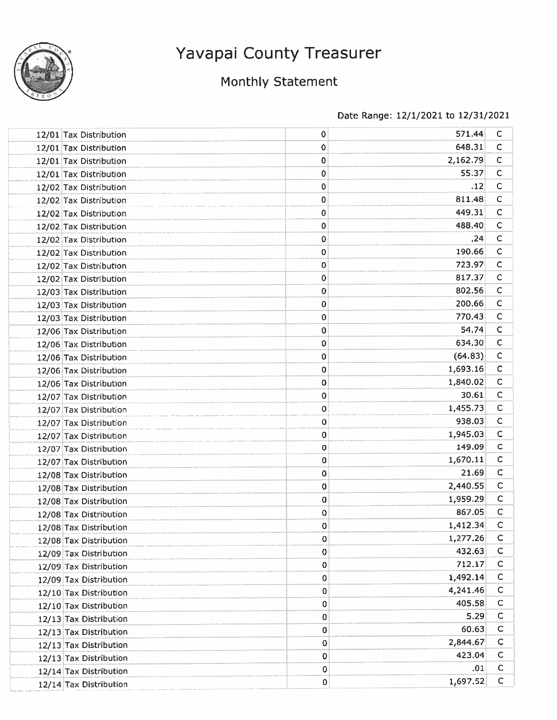

### Monthly Statement

| 12/01 Tax Distribution | 0           | 571.44   | $\mathsf{C}$ |
|------------------------|-------------|----------|--------------|
| 12/01 Tax Distribution | 0           | 648.31   | C            |
| 12/01 Tax Distribution | 0           | 2,162.79 | $\mathsf{C}$ |
| 12/01 Tax Distribution | 0           | 55.37    | $\mathsf{C}$ |
| 12/02 Tax Distribution | 0           | .12      | $\mathsf{C}$ |
| 12/02 Tax Distribution | 0           | 811.48   | C            |
| 12/02 Tax Distribution | 0           | 449.31   | $\mathsf{C}$ |
| 12/02 Tax Distribution | 0           | 488.40   | $\mathsf{C}$ |
| 12/02 Tax Distribution | 0           | .24      | C            |
| 12/02 Tax Distribution | 0           | 190.66   | $\mathsf{C}$ |
| 12/02 Tax Distribution | 0           | 723.97   | C            |
| 12/02 Tax Distribution | 0           | 817.37   | C            |
| 12/03 Tax Distribution | 0           | 802.56   | C            |
| 12/03 Tax Distribution | 0           | 200.66   | C            |
| 12/03 Tax Distribution | 0           | 770.43   | C            |
| 12/06 Tax Distribution | 0           | 54.74    | C            |
| 12/06 Tax Distribution | 0           | 634.30   | $\mathsf{C}$ |
| 12/06 Tax Distribution | 0           | (64.83)  | $\mathsf{C}$ |
| 12/06 Tax Distribution | 0           | 1,693.16 | $\mathsf{C}$ |
| 12/06 Tax Distribution | 0           | 1,840.02 | $\mathsf{C}$ |
| 12/07 Tax Distribution | 0           | 30.61    | $\mathsf{C}$ |
| 12/07 Tax Distribution | 0           | 1,455.73 | $\mathsf{C}$ |
| 12/07 Tax Distribution | 0           | 938.03   | $\mathsf{C}$ |
| 12/07 Tax Distribution | 0           | 1,945.03 | $\mathsf{C}$ |
| 12/07 Tax Distribution | 0           | 149.09   | $\mathsf{C}$ |
| 12/07 Tax Distribution | 0           | 1,670.11 | $\mathsf{C}$ |
| 12/08 Tax Distribution | 0           | 21.69    | $\mathsf{C}$ |
| 12/08 Tax Distribution | 0           | 2,440.55 | $\mathsf{C}$ |
| 12/08 Tax Distribution | 0           | 1,959.29 | $\mathsf{C}$ |
| 12/08 Tax Distribution | 0           | 867.05   | $\mathsf{C}$ |
| 12/08 Tax Distribution | 0           | 1,412.34 | c            |
| 12/08 Tax Distribution | 0           | 1,277.26 | $\mathsf C$  |
| 12/09 Tax Distribution | 0           | 432.63   | $\mathsf C$  |
| 12/09 Tax Distribution | $\bf{0}$    | 712.17   | c            |
| 12/09 Tax Distribution | 0           | 1,492.14 | c            |
| 12/10 Tax Distribution | 0           | 4,241.46 | $\mathsf C$  |
| 12/10 Tax Distribution | 0           | 405.58   | $\mathsf{C}$ |
| 12/13 Tax Distribution | 0           | 5.29     | $\mathsf{C}$ |
| 12/13 Tax Distribution | 0           | 60.63    | C            |
| 12/13 Tax Distribution | 0           | 2,844.67 | $\mathsf{C}$ |
| 12/13 Tax Distribution | 0           | 423.04   | $\mathsf{C}$ |
| 12/14 Tax Distribution | $\mathbf 0$ | .01      | C            |
| 12/14 Tax Distribution | 0           | 1,697.52 | Ċ            |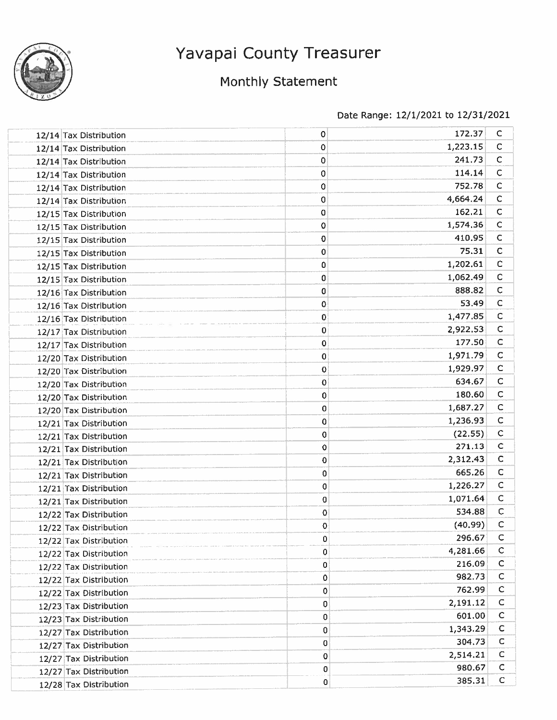

### Monthly Statement

| 12/14 Tax Distribution | 0           | 172.37   | $\mathsf{C}$               |
|------------------------|-------------|----------|----------------------------|
| 12/14 Tax Distribution | 0           | 1,223.15 | C                          |
| 12/14 Tax Distribution | 0           | 241.73   | $\mathsf C$                |
| 12/14 Tax Distribution | 0           | 114.14   | $\mathsf{C}$               |
| 12/14 Tax Distribution | 0           | 752.78   | $\mathsf C$                |
| 12/14 Tax Distribution | 0           | 4,664.24 | $\mathsf{C}$               |
| 12/15 Tax Distribution | 0           | 162.21   | $\mathsf{C}$               |
| 12/15 Tax Distribution | 0           | 1,574.36 | $\mathsf{C}$               |
| 12/15 Tax Distribution | 0           | 410.95   | $\mathsf{C}$               |
| 12/15 Tax Distribution | 0           | 75.31    | $\mathsf{C}$               |
| 12/15 Tax Distribution | 0           | 1,202.61 | $\mathsf{C}$               |
| 12/15 Tax Distribution | 0           | 1,062.49 | $\mathsf{C}$               |
| 12/16 Tax Distribution | 0           | 888.82   | $\mathsf C$                |
| 12/16 Tax Distribution | 0           | 53.49    | $\mathsf{C}$               |
| 12/16 Tax Distribution | 0           | 1,477.85 | $\mathsf{C}$               |
| 12/17 Tax Distribution | $\mathbf 0$ | 2,922.53 | $\mathsf{C}$               |
| 12/17 Tax Distribution | 0           | 177.50   | $\mathsf{C}$               |
| 12/20 Tax Distribution | 0           | 1,971.79 | $\mathsf C$                |
| 12/20 Tax Distribution | 0           | 1,929.97 | $\mathsf{C}$               |
| 12/20 Tax Distribution | $\mathbf 0$ | 634.67   | $\mathsf{C}$               |
| 12/20 Tax Distribution | 0           | 180.60   | $\mathsf{C}$               |
| 12/20 Tax Distribution | 0           | 1,687.27 | $\mathsf{C}$               |
| 12/21 Tax Distribution | 0           | 1,236.93 | $\mathsf{C}$               |
| 12/21 Tax Distribution | 0           | (22.55)  | $\mathsf C$                |
| 12/21 Tax Distribution | $\mathbf 0$ | 271.13   | $\mathsf{C}$               |
| 12/21 Tax Distribution | $\bf{0}$    | 2,312.43 | $\mathsf C$                |
| 12/21 Tax Distribution | 0           | 665.26   | $\mathsf{C}$               |
| 12/21 Tax Distribution | 0           | 1,226.27 | $\mathsf{C}$               |
| 12/21 Tax Distribution | $\bf{0}$    | 1,071.64 | $\mathsf{C}$               |
| 12/22 Tax Distribution | $\mathbf 0$ | 534.88   | C                          |
| 12/22 Tax Distribution | $\mathbf 0$ | (40.99)  | с                          |
| 12/22 Tax Distribution | 0           | 296.67   | $\mathsf C$                |
| 12/22 Tax Distribution | 0           | 4,281.66 | $\mathsf{C}$               |
| 12/22 Tax Distribution | 0           | 216.09   | $\mathsf{C}$               |
| 12/22 Tax Distribution | 0           | 982.73   | $\mathsf{C}$               |
| 12/22 Tax Distribution | 0           | 762.99   | C                          |
| 12/23 Tax Distribution | 0           | 2,191.12 | C                          |
| 12/23 Tax Distribution | 0           | 601.00   | $\mathsf{C}$               |
| 12/27 Tax Distribution | 0           | 1,343.29 | $\mathsf{C}$               |
| 12/27 Tax Distribution | 0           | 304.73   | $\mathsf{C}$               |
| 12/27 Tax Distribution | 0           | 2,514.21 | $\mathsf{C}$               |
| 12/27 Tax Distribution | 0           | 980.67   | $\mathsf C$<br>$\mathsf C$ |
| 12/28 Tax Distribution | $\mathbf 0$ | 385.31   |                            |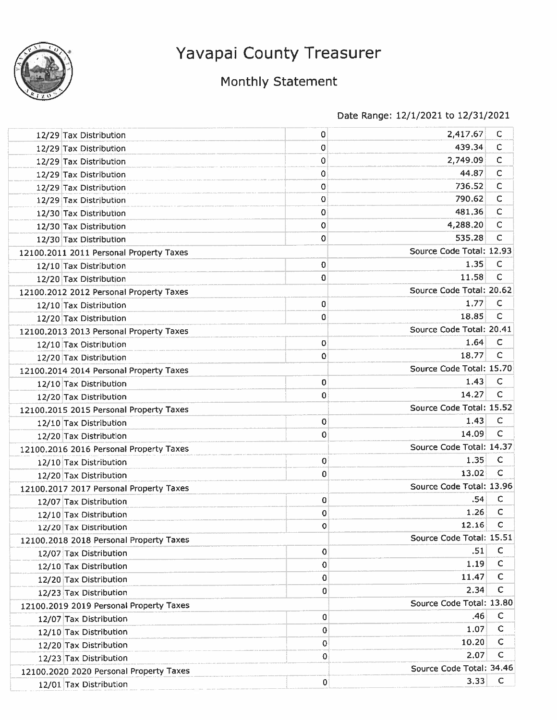

## Monthly Statement

| 12/29 Tax Distribution                  | 0                  | 2,417.67                 | с            |
|-----------------------------------------|--------------------|--------------------------|--------------|
| 12/29 Tax Distribution                  | 0                  | 439.34                   | C            |
| 12/29 Tax Distribution                  | 0                  | 2,749.09                 | $\mathsf{C}$ |
| 12/29 Tax Distribution                  | 0                  | 44.87                    | C            |
| 12/29 Tax Distribution                  | 0                  | 736.52                   | C            |
| 12/29 Tax Distribution                  | 0                  | 790.62                   | С            |
| 12/30 Tax Distribution                  | 0                  | 481.36                   | C            |
| 12/30 Tax Distribution                  | 0                  | 4,288.20                 | $\mathsf{C}$ |
| 12/30 Tax Distribution                  | 0                  | 535.28                   | C            |
| 12100.2011 2011 Personal Property Taxes |                    | Source Code Total: 12.93 |              |
| 12/10 Tax Distribution                  | 0                  | 1.35                     | C            |
| 12/20 Tax Distribution                  | 0                  | 11.58                    | C            |
| 12100.2012 2012 Personal Property Taxes |                    | Source Code Total: 20.62 |              |
| 12/10 Tax Distribution                  | 0                  | 1.77                     | c            |
| 12/20 Tax Distribution                  | 0                  | 18.85                    | C            |
| 12100.2013 2013 Personal Property Taxes |                    | Source Code Total: 20.41 |              |
| 12/10 Tax Distribution                  | 0                  | 1.64                     | C            |
| 12/20 Tax Distribution                  | 0                  | 18.77                    | C            |
| 12100.2014 2014 Personal Property Taxes |                    | Source Code Total: 15.70 |              |
| 12/10 Tax Distribution                  | 0                  | 1.43                     | $\mathsf{C}$ |
| 12/20 Tax Distribution                  | 0                  | 14.27                    | $\mathsf{C}$ |
| 12100.2015 2015 Personal Property Taxes |                    | Source Code Total: 15.52 |              |
| 12/10 Tax Distribution                  | $\pmb{\mathsf{O}}$ | 1.43                     | $\mathsf C$  |
| 12/20 Tax Distribution                  | 0                  | 14.09                    | C            |
| 12100.2016 2016 Personal Property Taxes |                    | Source Code Total: 14.37 |              |
| 12/10 Tax Distribution                  | 0                  | 1.35                     | C            |
| 12/20 Tax Distribution                  | 0                  | 13.02                    | C            |
| 12100.2017 2017 Personal Property Taxes |                    | Source Code Total: 13.96 |              |
| 12/07 Tax Distribution                  | 0                  | .54                      | C            |
| 12/10 Tax Distribution                  | 0                  | 1.26                     | C            |
| 12/20 Tax Distribution                  | 0                  | 12.16                    | C            |
| 12100.2018 2018 Personal Property Taxes |                    | Source Code Total: 15.51 |              |
| 12/07 Tax Distribution                  | $\mathbf 0$        | .51                      | C            |
| 12/10 Tax Distribution                  | 0                  | 1.19                     | $\mathsf{C}$ |
| 12/20 Tax Distribution                  | 0                  | 11.47                    | C            |
| 12/23 Tax Distribution                  | 0                  | 2.34                     | $\mathsf{C}$ |
| 12100.2019 2019 Personal Property Taxes |                    | Source Code Total: 13.80 |              |
| 12/07 Tax Distribution                  | 0                  | .46                      | C            |
| 12/10 Tax Distribution                  | 0                  | 1.07                     | С            |
| 12/20 Tax Distribution                  | 0                  | 10.20                    | C            |
| 12/23 Tax Distribution                  | 0                  | 2.07                     | C            |
| 12100,2020 2020 Personal Property Taxes |                    | Source Code Total: 34.46 |              |
| 12/01 Tax Distribution                  | 0                  | 3.33                     | $\mathsf C$  |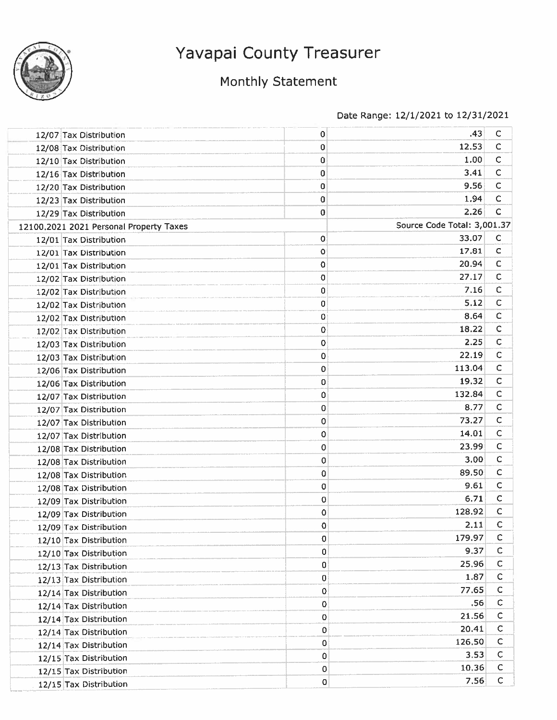

## Monthly Statement

| 12/07 Tax Distribution                  | $\mathbf 0$ | .43                         | С                |
|-----------------------------------------|-------------|-----------------------------|------------------|
| 12/08 Tax Distribution                  | 0           | 12.53                       | с                |
| 12/10 Tax Distribution                  | 0           | 1.00                        | с                |
| 12/16 Tax Distribution                  | 0           | 3.41                        | С                |
| 12/20 Tax Distribution                  | 0           | 9.56                        | C                |
| 12/23 Tax Distribution                  | 0           | 1.94                        | с                |
| 12/29 Tax Distribution                  | 0           | 2.26                        | C                |
| 12100.2021 2021 Personal Property Taxes |             | Source Code Total: 3,001.37 |                  |
| 12/01 Tax Distribution                  | 0           | 33.07                       | C                |
| 12/01 Tax Distribution                  | 0           | 17.81                       | C                |
| 12/01 Tax Distribution                  | 0           | 20.94                       | с                |
| 12/02 Tax Distribution                  | 0           | 27.17                       | $\mathsf{C}$     |
| 12/02 Tax Distribution                  | 0           | 7.16                        | С                |
| 12/02 Tax Distribution                  | 0           | 5.12                        | C                |
| 12/02 Tax Distribution                  | 0           | 8.64                        | C                |
| 12/02 Tax Distribution                  | 0           | 18.22                       | C                |
| 12/03 Tax Distribution                  | 0           | 2.25                        | $\mathsf{C}$     |
| 12/03 Tax Distribution                  | 0           | 22.19                       | $\mathsf{C}$     |
| 12/06 Tax Distribution                  | 0           | 113.04                      | C                |
| 12/06 Tax Distribution                  | 0           | 19.32                       | $\mathsf{C}$     |
| 12/07 Tax Distribution                  | 0           | 132.84                      | C                |
| 12/07 Tax Distribution                  | 0           | 8.77                        | С                |
| 12/07 Tax Distribution                  | 0           | 73.27                       | $\mathsf{C}$     |
| 12/07 Tax Distribution                  | 0           | 14.01                       | С                |
| 12/08 Tax Distribution                  | 0           | 23.99                       | c                |
| 12/08 Tax Distribution                  | 0           | 3.00                        | c                |
| 12/08 Tax Distribution                  | 0           | 89.50                       | c                |
| 12/08 Tax Distribution                  | 0           | 9.61                        | $\mathsf{C}$     |
| 12/09 Tax Distribution                  | 0           | 6.71                        | C                |
| 12/09 Tax Distribution                  | 0           | 128.92                      | $\mathsf{C}$     |
| 12/09 Tax Distribution                  | 0           | 2.11                        | C                |
| 12/10 Tax Distribution                  | 0           | 179.97                      | с                |
| 12/10 Tax Distribution                  | 0           | 9.37                        | C                |
| 12/13 Tax Distribution                  | 0           | 25,96                       | C                |
| 12/13 Tax Distribution                  | 0           | 1.87                        | C                |
| 12/14 Tax Distribution                  | 0           | 77.65                       | C                |
| 12/14 Tax Distribution                  | 0           | .56                         | C                |
| 12/14 Tax Distribution                  | 0           | 21.56                       | C                |
| 12/14 Tax Distribution                  | 0           | 20.41                       | C                |
| 12/14 Tax Distribution                  | 0           | 126,50                      | c                |
| 12/15 Tax Distribution                  | 0           | 3.53                        | C                |
| 12/15 Tax Distribution                  | o           | 10.36                       | c<br>$\mathsf C$ |
| 12/15 Tax Distribution                  | 0           | 7.56                        |                  |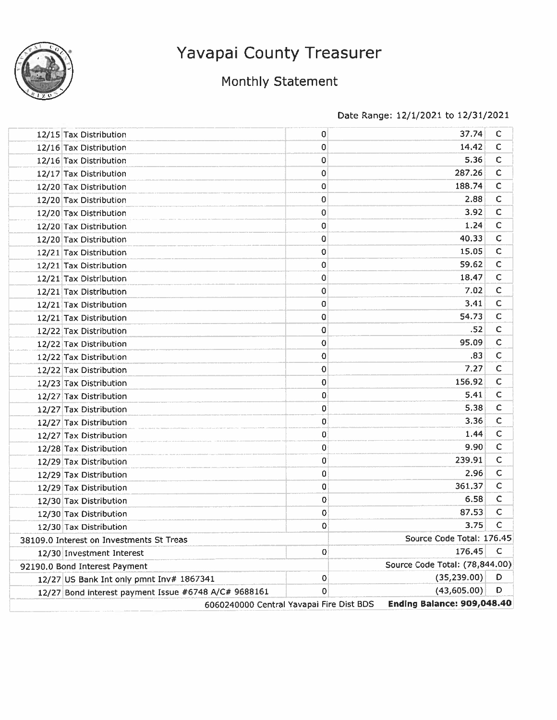

### Monthly Statement

| 12/15 Tax Distribution                               | 0           | 37.74                          | С            |
|------------------------------------------------------|-------------|--------------------------------|--------------|
| 12/16 Tax Distribution                               | 0           | 14.42                          | с            |
| 12/16 Tax Distribution                               | 0           | 5.36                           | C            |
| 12/17 Tax Distribution                               | 0           | 287.26                         | с            |
| 12/20 Tax Distribution                               | 0           | 188.74                         | C            |
| 12/20 Tax Distribution                               | 0           | 2.88                           | С            |
| 12/20 Tax Distribution                               | 0           | 3.92                           | с            |
| 12/20 Tax Distribution                               | 0           | 1.24                           | C            |
| 12/20 Tax Distribution                               | 0           | 40.33                          | C            |
| 12/21 Tax Distribution                               | 0           | 15.05                          | C            |
| 12/21 Tax Distribution                               | 0           | 59.62                          | C            |
| 12/21 Tax Distribution                               | 0           | 18.47                          | C            |
| 12/21 Tax Distribution                               | 0           | 7.02                           | C            |
| 12/21 Tax Distribution                               | 0           | 3.41                           | C            |
| 12/21 Tax Distribution                               | 0           | 54.73                          | $\mathsf{C}$ |
| 12/22 Tax Distribution                               | 0           | .52                            | с            |
| 12/22 Tax Distribution                               | 0           | 95.09                          | C            |
| 12/22 Tax Distribution                               | 0           | .83                            | $\mathsf{C}$ |
| 12/22 Tax Distribution                               | 0           | 7.27                           | C            |
| 12/23 Tax Distribution                               | 0           | 156.92                         | $\mathsf{C}$ |
| 12/27 Tax Distribution                               | 0           | 5.41                           | C            |
| 12/27 Tax Distribution                               | 0           | 5,38                           | C            |
| 12/27 Tax Distribution                               | $\mathbf 0$ | 3.36                           | C            |
| 12/27 Tax Distribution                               | 0           | 1.44                           | C            |
| 12/28 Tax Distribution                               | 0           | 9.90                           | C            |
| 12/29 Tax Distribution                               | 0           | 239.91                         | C            |
| 12/29 Tax Distribution                               | 0           | 2.96                           | С            |
| 12/29 Tax Distribution                               | 0           | 361.37                         | C            |
| 12/30 Tax Distribution                               | 0           | 6.58                           | С            |
| 12/30 Tax Distribution                               | 0           | 87.53                          | C            |
| 12/30 Tax Distribution                               | 0           | 3.75                           | C            |
| 38109.0 Interest on Investments St Treas             |             | Source Code Total: 176.45      |              |
| 12/30 Investment Interest                            | 0           | 176,45                         | C            |
| 92190.0 Bond Interest Payment                        |             | Source Code Total: (78,844.00) |              |
| 12/27 US Bank Int only pmnt Inv# 1867341             | 0           | (35, 239.00)                   | D            |
| 12/27 Bond interest payment Issue #6748 A/C# 9688161 | 0           | (43,605.00)                    | D            |
| 6060240000 Central Yavapai Fire Dist BDS             |             | Ending Balance: 909,048.40     |              |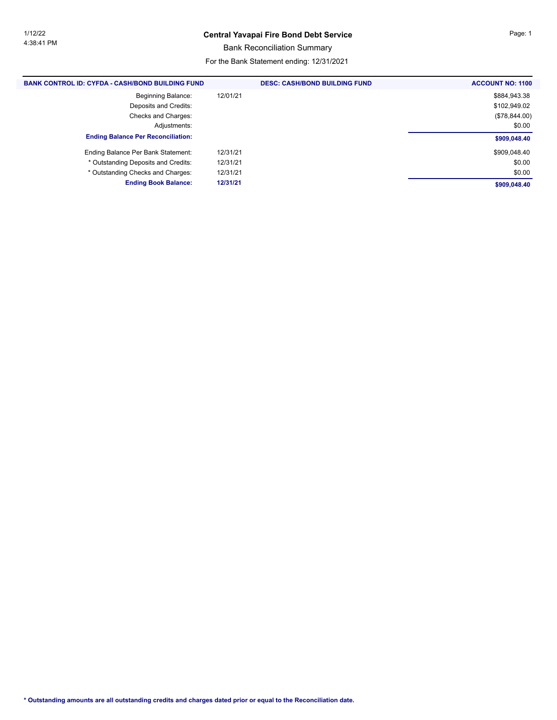#### **Central Yavapai Fire Bond Debt Service** Page: 1

Bank Reconciliation Summary

For the Bank Statement ending: 12/31/2021

| <b>BANK CONTROL ID: CYFDA - CASH/BOND BUILDING FUND</b> | <b>DESC: CASH/BOND BUILDING FUND</b> | <b>ACCOUNT NO: 1100</b> |
|---------------------------------------------------------|--------------------------------------|-------------------------|
| <b>Beginning Balance:</b>                               | 12/01/21                             | \$884,943.38            |
| Deposits and Credits:                                   |                                      | \$102,949.02            |
| Checks and Charges:                                     |                                      | (\$78,844.00)           |
| Adjustments:                                            |                                      | \$0.00                  |
| <b>Ending Balance Per Reconciliation:</b>               |                                      | \$909,048.40            |
| Ending Balance Per Bank Statement:                      | 12/31/21                             | \$909,048.40            |
| * Outstanding Deposits and Credits:                     | 12/31/21                             | \$0.00                  |
| * Outstanding Checks and Charges:                       | 12/31/21                             | \$0.00                  |
| <b>Ending Book Balance:</b>                             | 12/31/21                             | \$909,048.40            |
|                                                         |                                      |                         |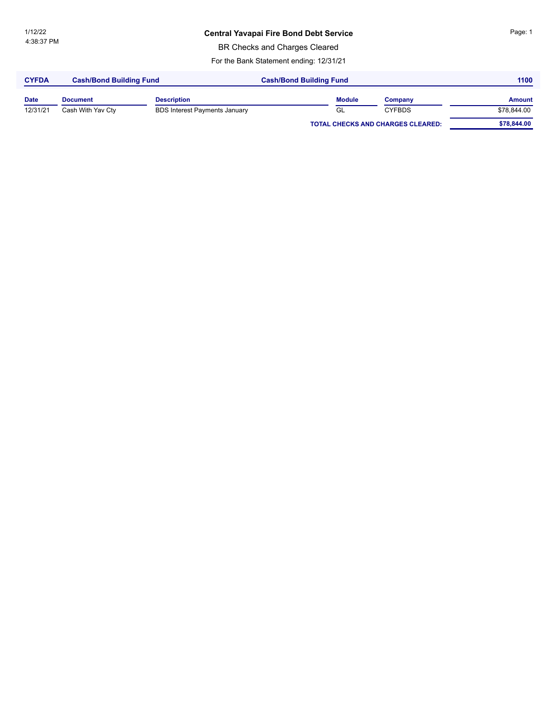### **Central Yavapai Fire Bond Debt Service** Page: 1

BR Checks and Charges Cleared

For the Bank Statement ending: 12/31/21

| <b>CYFDA</b> | <b>Cash/Bond Building Fund</b> |                                      | <b>Cash/Bond Building Fund</b> | 1100                                     |               |  |
|--------------|--------------------------------|--------------------------------------|--------------------------------|------------------------------------------|---------------|--|
| <b>Date</b>  | <b>Document</b>                | <b>Description</b>                   | <b>Module</b>                  | Company                                  | <b>Amount</b> |  |
| 12/31/21     | Cash With Yav Cty              | <b>BDS Interest Payments January</b> | GL                             | <b>CYFBDS</b>                            | \$78,844.00   |  |
|              |                                |                                      |                                | <b>TOTAL CHECKS AND CHARGES CLEARED:</b> | \$78,844.00   |  |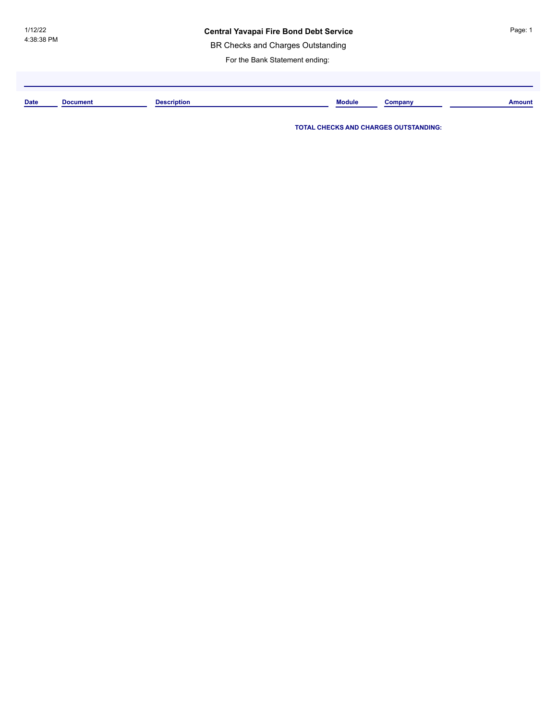#### **Central Yavapai Fire Bond Debt Service**

BR Checks and Charges Outstanding

For the Bank Statement ending:

**Date Document Description Module Company Amount**

**TOTAL CHECKS AND CHARGES OUTSTANDING:**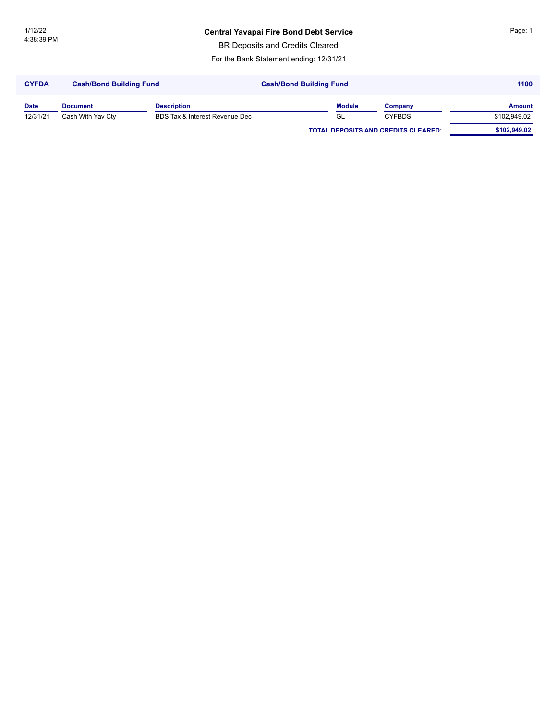### **Central Yavapai Fire Bond Debt Service** Page: 1

BR Deposits and Credits Cleared

For the Bank Statement ending: 12/31/21

| <b>CYFDA</b> | <b>Cash/Bond Building Fund</b> |                                | <b>Cash/Bond Building Fund</b> | 1100                                       |               |
|--------------|--------------------------------|--------------------------------|--------------------------------|--------------------------------------------|---------------|
| <b>Date</b>  | <b>Document</b>                | <b>Description</b>             | <b>Module</b>                  | Company                                    | <b>Amount</b> |
| 12/31/21     | Cash With Yav Cty              | BDS Tax & Interest Revenue Dec | GL                             | <b>CYFBDS</b>                              | \$102,949.02  |
|              |                                |                                |                                | <b>TOTAL DEPOSITS AND CREDITS CLEARED:</b> | \$102,949.02  |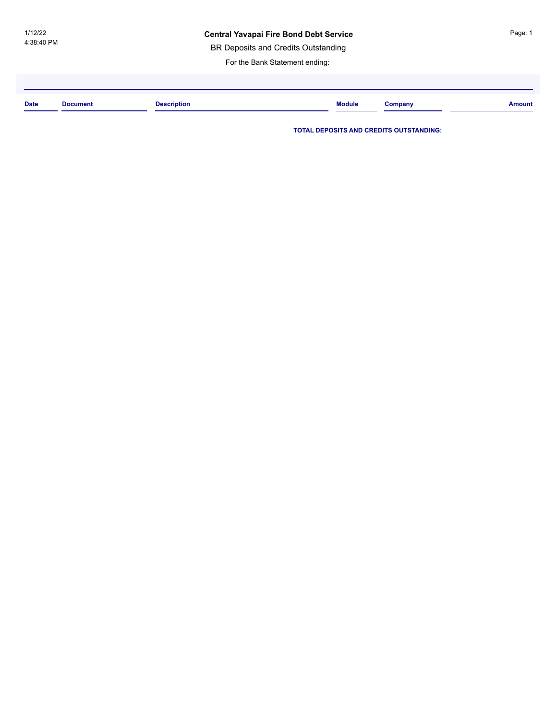#### **Central Yavapai Fire Bond Debt Service**

BR Deposits and Credits Outstanding

For the Bank Statement ending:

| <b>Date</b> | <b>Joeumont</b><br>. | <b>Description</b><br>. | <b>Module</b> | $\mathcal{L}$ ompany | <b>Amount</b> |
|-------------|----------------------|-------------------------|---------------|----------------------|---------------|
|             |                      |                         |               |                      |               |

**TOTAL DEPOSITS AND CREDITS OUTSTANDING:**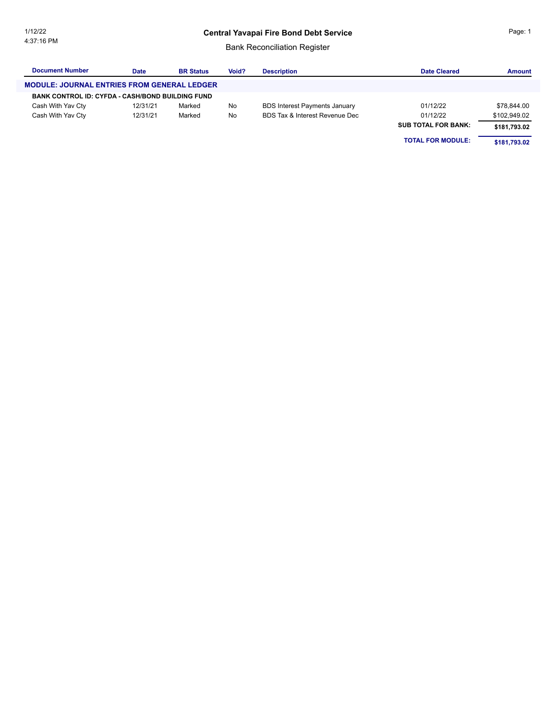#### **Central Yavapai Fire Bond Debt Service**

#### Bank Reconciliation Register

| <b>Document Number</b>                                  | <b>Date</b> | <b>BR Status</b> | Void? | <b>Description</b>                   | <b>Date Cleared</b>        | <b>Amount</b> |
|---------------------------------------------------------|-------------|------------------|-------|--------------------------------------|----------------------------|---------------|
| <b>MODULE: JOURNAL ENTRIES FROM GENERAL LEDGER</b>      |             |                  |       |                                      |                            |               |
| <b>BANK CONTROL ID: CYFDA - CASH/BOND BUILDING FUND</b> |             |                  |       |                                      |                            |               |
| Cash With Yav Cty                                       | 12/31/21    | Marked           | No    | <b>BDS Interest Payments January</b> | 01/12/22                   | \$78,844.00   |
| Cash With Yav Cty                                       | 12/31/21    | Marked           | No    | BDS Tax & Interest Revenue Dec       | 01/12/22                   | \$102,949.02  |
|                                                         |             |                  |       |                                      | <b>SUB TOTAL FOR BANK:</b> | \$181,793.02  |
|                                                         |             |                  |       |                                      | <b>TOTAL FOR MODULE:</b>   | \$181.793.02  |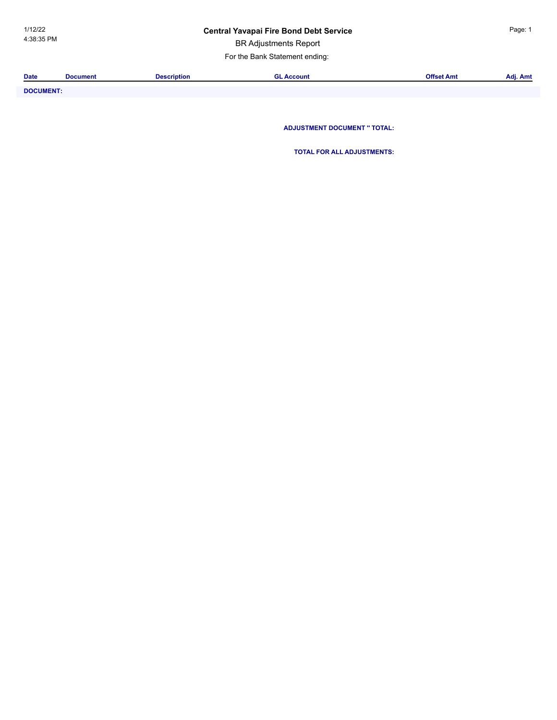### **Central Yavapai Fire Bond Debt Service** Page: 1

BR Adjustments Report

For the Bank Statement ending:

| <b>Date</b> | <b>Document</b> | Description | <b>Accoun</b> | Offset Amt | Adj. Amt |
|-------------|-----------------|-------------|---------------|------------|----------|
|             |                 |             |               |            |          |
|             |                 |             |               |            |          |

**DOCUMENT: ADJUSTMENT DOCUMENT '' TOTAL:**

**TOTAL FOR ALL ADJUSTMENTS:**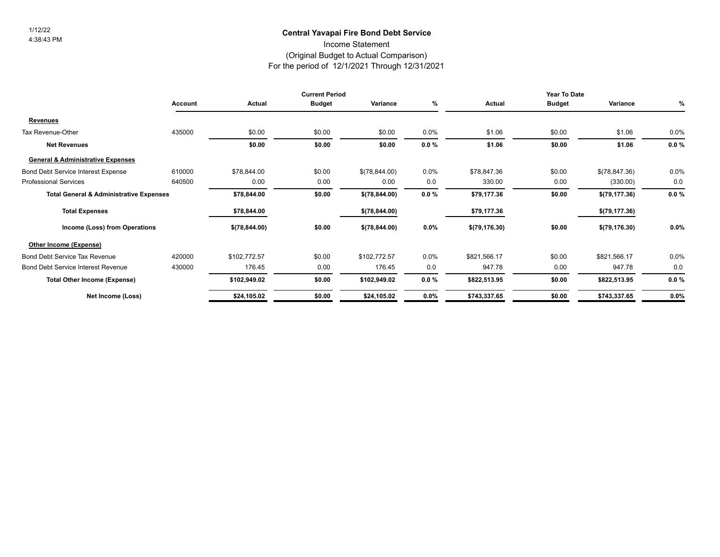### **Central Yavapai Fire Bond Debt Service** 1/12/22

Income Statement

#### (Original Budget to Actual Comparison)

For the period of 12/1/2021 Through 12/31/2021

|                                                    |                |               | <b>Current Period</b> |               |          |                | Year To Date  |                |          |
|----------------------------------------------------|----------------|---------------|-----------------------|---------------|----------|----------------|---------------|----------------|----------|
|                                                    | <b>Account</b> | Actual        | <b>Budget</b>         | Variance      | %        | Actual         | <b>Budget</b> | Variance       | %        |
| <b>Revenues</b>                                    |                |               |                       |               |          |                |               |                |          |
| Tax Revenue-Other                                  | 435000         | \$0.00        | \$0.00                | \$0.00        | 0.0%     | \$1.06         | \$0.00        | \$1.06         | $0.0\%$  |
| <b>Net Revenues</b>                                |                | \$0.00        | \$0.00                | \$0.00        | $0.0 \%$ | \$1.06         | \$0.00        | \$1.06         | $0.0 \%$ |
| <b>General &amp; Administrative Expenses</b>       |                |               |                       |               |          |                |               |                |          |
| <b>Bond Debt Service Interest Expense</b>          | 610000         | \$78,844.00   | \$0.00                | \$(78,844.00) | $0.0\%$  | \$78,847.36    | \$0.00        | \$(78,847.36)  | $0.0\%$  |
| <b>Professional Services</b>                       | 640500         | 0.00          | 0.00                  | 0.00          | 0.0      | 330.00         | 0.00          | (330.00)       | 0.0      |
| <b>Total General &amp; Administrative Expenses</b> |                | \$78,844.00   | \$0.00                | \$(78,844.00) | $0.0 \%$ | \$79,177.36    | \$0.00        | \$(79, 177.36) | $0.0 \%$ |
| <b>Total Expenses</b>                              |                | \$78,844.00   |                       | \$(78,844.00) |          | \$79,177.36    |               | \$(79,177.36)  |          |
| Income (Loss) from Operations                      |                | \$(78,844.00) | \$0.00                | \$(78,844.00) | $0.0\%$  | \$(79, 176.30) | \$0.00        | \$(79, 176.30) | $0.0\%$  |
| Other Income (Expense)                             |                |               |                       |               |          |                |               |                |          |
| <b>Bond Debt Service Tax Revenue</b>               | 420000         | \$102,772.57  | \$0.00                | \$102,772.57  | 0.0%     | \$821,566.17   | \$0.00        | \$821,566.17   | 0.0%     |
| <b>Bond Debt Service Interest Revenue</b>          | 430000         | 176.45        | 0.00                  | 176.45        | 0.0      | 947.78         | 0.00          | 947.78         | 0.0      |
| <b>Total Other Income (Expense)</b>                |                | \$102,949.02  | \$0.00                | \$102,949.02  | $0.0 \%$ | \$822,513.95   | \$0.00        | \$822,513.95   | $0.0 \%$ |
| Net Income (Loss)                                  |                | \$24,105.02   | \$0.00                | \$24,105.02   | $0.0\%$  | \$743,337.65   | \$0.00        | \$743,337.65   | $0.0\%$  |
|                                                    |                |               |                       |               |          |                |               |                |          |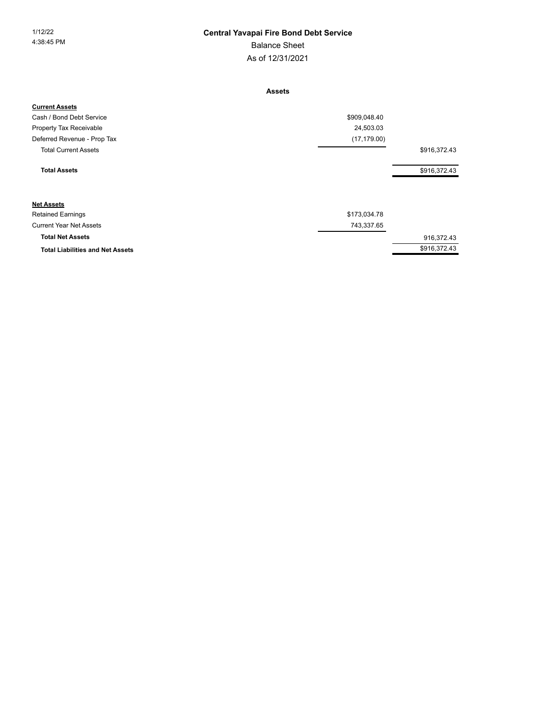#### 1/12/22 **Central Yavapai Fire Bond Debt Service**

Balance Sheet

As of 12/31/2021

**Assets**

| <b>Current Assets</b>                   |              |              |
|-----------------------------------------|--------------|--------------|
| Cash / Bond Debt Service                | \$909,048.40 |              |
| Property Tax Receivable                 | 24,503.03    |              |
| Deferred Revenue - Prop Tax             | (17, 179.00) |              |
| <b>Total Current Assets</b>             |              | \$916,372.43 |
| <b>Total Assets</b>                     |              | \$916,372.43 |
| <b>Net Assets</b>                       |              |              |
| <b>Retained Earnings</b>                | \$173,034.78 |              |
| <b>Current Year Net Assets</b>          | 743,337.65   |              |
| <b>Total Net Assets</b>                 |              | 916,372.43   |
| <b>Total Liabilities and Net Assets</b> |              | \$916,372.43 |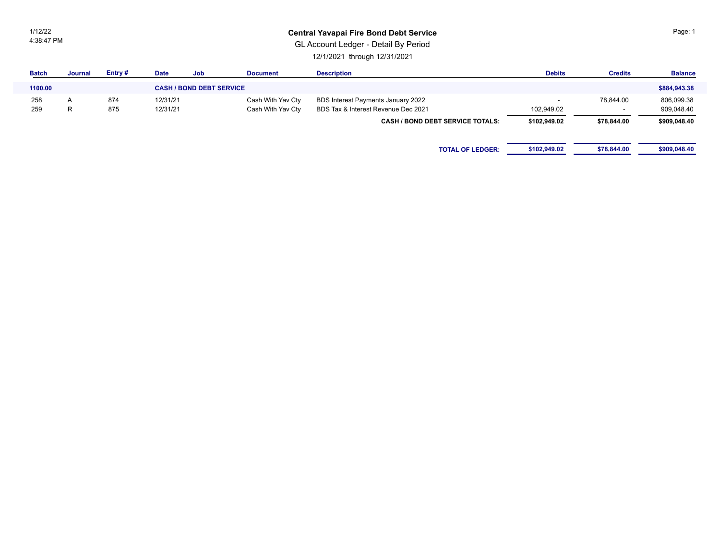1/12/22 4:38:47 PM

#### **Central Yavapai Fire Bond Debt Service**

GL Account Ledger - Detail By Period

12/1/2021 through 12/31/2021

| <b>Batch</b> | <b>Journal</b> | Entry# | <b>Date</b> | Job                             | <b>Document</b>   | <b>Description</b>                      | <b>Debits</b> | <b>Credits</b> | <b>Balance</b> |
|--------------|----------------|--------|-------------|---------------------------------|-------------------|-----------------------------------------|---------------|----------------|----------------|
| 1100.00      |                |        |             | <b>CASH / BOND DEBT SERVICE</b> |                   |                                         |               |                | \$884,943.38   |
| 258          | $\sqrt{ }$     | 874    | 12/31/21    |                                 | Cash With Yav Cty | BDS Interest Payments January 2022      |               | 78,844.00      | 806,099.38     |
| 259          | R              | 875    | 12/31/21    |                                 | Cash With Yav Cty | BDS Tax & Interest Revenue Dec 2021     | 102,949.02    |                | 909,048.40     |
|              |                |        |             |                                 |                   | <b>CASH / BOND DEBT SERVICE TOTALS:</b> | \$102,949.02  | \$78,844.00    | \$909,048.40   |
|              |                |        |             |                                 |                   |                                         |               |                |                |
|              |                |        |             |                                 |                   | <b>TOTAL OF LEDGER:</b>                 | \$102,949.02  | \$78,844.00    | \$909,048.40   |
|              |                |        |             |                                 |                   |                                         |               |                |                |

Page: 1